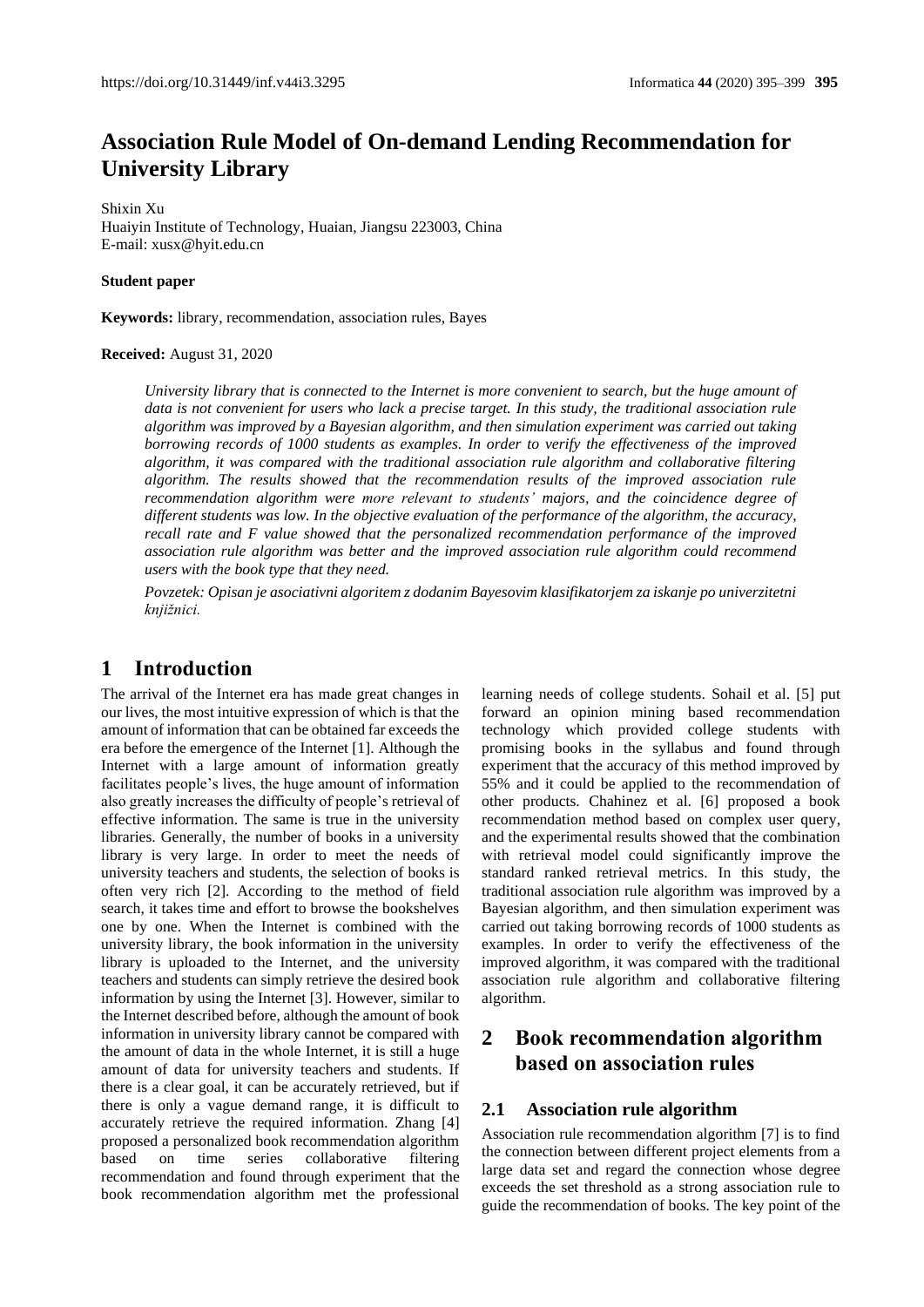# **Association Rule Model of On-demand Lending Recommendation for University Library**

Shixin Xu Huaiyin Institute of Technology, Huaian, Jiangsu 223003, China E-mail[: xusx@hyit.edu.cn](mailto:xusx@hyit.edu.cn)

**Student paper**

**Keywords:** library, recommendation, association rules, Bayes

#### **Received:** August 31, 2020

*University library that is connected to the Internet is more convenient to search, but the huge amount of data is not convenient for users who lack a precise target. In this study, the traditional association rule algorithm was improved by a Bayesian algorithm, and then simulation experiment was carried out taking borrowing records of 1000 students as examples. In order to verify the effectiveness of the improved algorithm, it was compared with the traditional association rule algorithm and collaborative filtering algorithm. The results showed that the recommendation results of the improved association rule recommendation algorithm were more relevant to students' majors, and the coincidence degree of different students was low. In the objective evaluation of the performance of the algorithm, the accuracy, recall rate and F value showed that the personalized recommendation performance of the improved association rule algorithm was better and the improved association rule algorithm could recommend users with the book type that they need.*

*Povzetek: Opisan je asociativni algoritem z dodanim Bayesovim klasifikatorjem za iskanje po univerzitetni knjižnici.*

## **1 Introduction**

The arrival of the Internet era has made great changes in our lives, the most intuitive expression of which is that the amount of information that can be obtained far exceeds the era before the emergence of the Internet [1]. Although the Internet with a large amount of information greatly facilitates people's lives, the huge amount of information also greatly increases the difficulty of people's retrieval of effective information. The same is true in the university libraries. Generally, the number of books in a university library is very large. In order to meet the needs of university teachers and students, the selection of books is often very rich [2]. According to the method of field search, it takes time and effort to browse the bookshelves one by one. When the Internet is combined with the university library, the book information in the university library is uploaded to the Internet, and the university teachers and students can simply retrieve the desired book information by using the Internet [3]. However, similar to the Internet described before, although the amount of book information in university library cannot be compared with the amount of data in the whole Internet, it is still a huge amount of data for university teachers and students. If there is a clear goal, it can be accurately retrieved, but if there is only a vague demand range, it is difficult to accurately retrieve the required information. Zhang [4] proposed a personalized book recommendation algorithm based on time series collaborative filtering recommendation and found through experiment that the book recommendation algorithm met the professional

learning needs of college students. Sohail et al. [5] put forward an opinion mining based recommendation technology which provided college students with promising books in the syllabus and found through experiment that the accuracy of this method improved by 55% and it could be applied to the recommendation of other products. Chahinez et al. [6] proposed a book recommendation method based on complex user query, and the experimental results showed that the combination with retrieval model could significantly improve the standard ranked retrieval metrics. In this study, the traditional association rule algorithm was improved by a Bayesian algorithm, and then simulation experiment was carried out taking borrowing records of 1000 students as examples. In order to verify the effectiveness of the improved algorithm, it was compared with the traditional association rule algorithm and collaborative filtering algorithm.

## **2 Book recommendation algorithm based on association rules**

### **2.1 Association rule algorithm**

Association rule recommendation algorithm [7] is to find the connection between different project elements from a large data set and regard the connection whose degree exceeds the set threshold as a strong association rule to guide the recommendation of books. The key point of the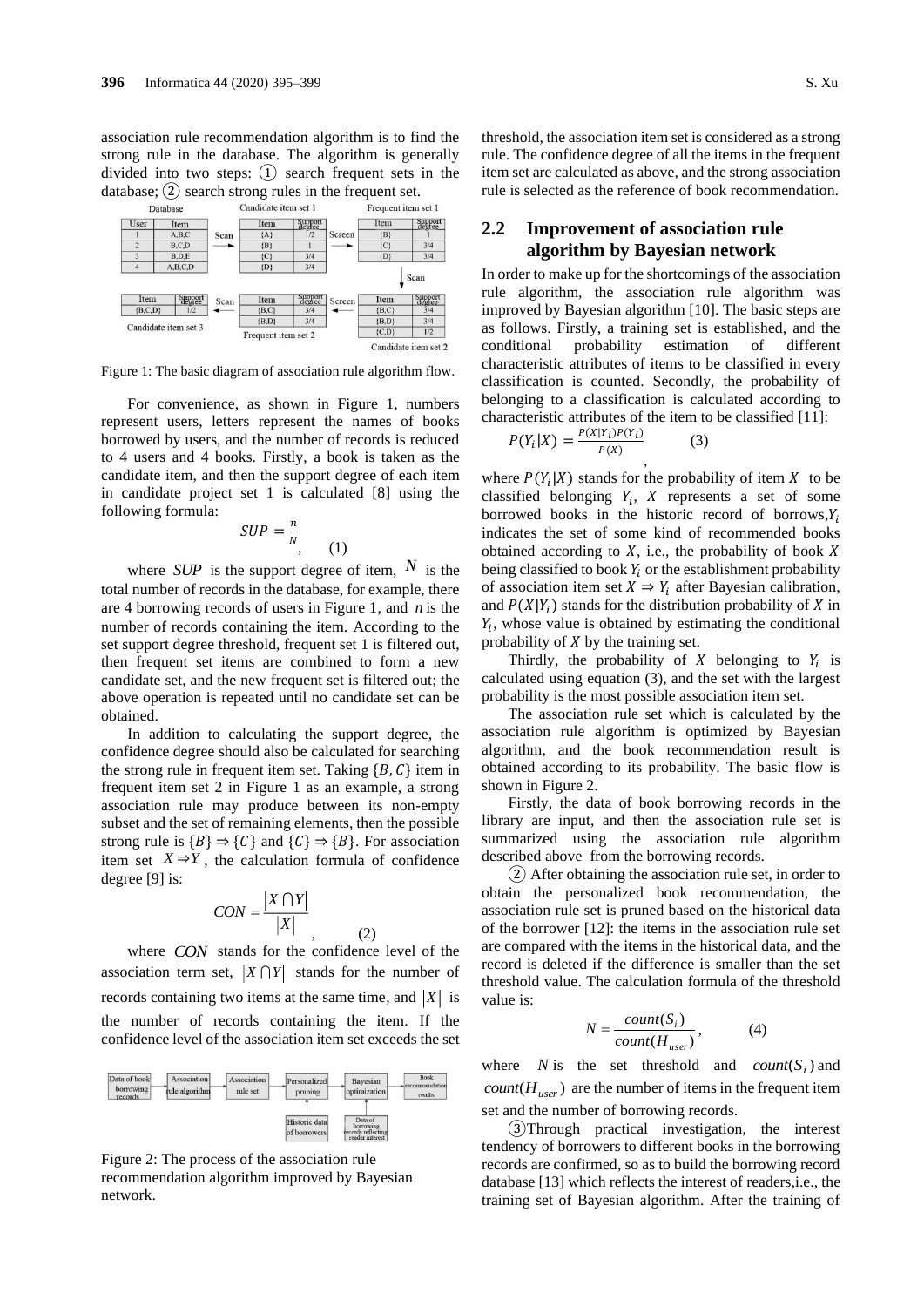association rule recommendation algorithm is to find the strong rule in the database. The algorithm is generally divided into two steps: ① search frequent sets in the database;  $(2)$  search strong rules in the frequent set.



Figure 1: The basic diagram of association rule algorithm flow.

For convenience, as shown in Figure 1, numbers represent users, letters represent the names of books borrowed by users, and the number of records is reduced to 4 users and 4 books. Firstly, a book is taken as the candidate item, and then the support degree of each item in candidate project set 1 is calculated [8] using the following formula:

$$
SUP = \frac{n}{N}, \qquad (1)
$$

where *SUP* is the support degree of item,  $N$  is the total number of records in the database, for example, there are 4 borrowing records of users in Figure 1, and *n* is the number of records containing the item. According to the set support degree threshold, frequent set 1 is filtered out, then frequent set items are combined to form a new candidate set, and the new frequent set is filtered out; the above operation is repeated until no candidate set can be obtained.

In addition to calculating the support degree, the confidence degree should also be calculated for searching the strong rule in frequent item set. Taking  ${B, C}$  item in frequent item set 2 in Figure 1 as an example, a strong association rule may produce between its non-empty subset and the set of remaining elements, then the possible strong rule is  ${B} \Rightarrow {C}$  and  ${C} \Rightarrow {B}$ . For association item set  $X \Rightarrow Y$ , the calculation formula of confidence degree [9] is:

$$
CON = \frac{|X \cap Y|}{|X|}
$$

where *CON* stands for the confidence level of the association term set,  $|X \cap Y|$  stands for the number of records containing two items at the same time, and  $|X|$  is the number of records containing the item. If the confidence level of the association item set exceeds the set

 $(2)$ 



Figure 2: The process of the association rule recommendation algorithm improved by Bayesian network.

threshold, the association item set is considered as a strong rule. The confidence degree of all the items in the frequent item set are calculated as above, and the strong association rule is selected as the reference of book recommendation.

## **2.2 Improvement of association rule algorithm by Bayesian network**

In order to make up for the shortcomings of the association rule algorithm, the association rule algorithm was improved by Bayesian algorithm [10]. The basic steps are as follows. Firstly, a training set is established, and the conditional probability estimation of different characteristic attributes of items to be classified in every classification is counted. Secondly, the probability of belonging to a classification is calculated according to characteristic attributes of the item to be classified [11]:

$$
P(Y_i|X) = \frac{P(X|Y_i)P(Y_i)}{P(X)}
$$
\n(3)

where  $P(Y_i|X)$  stands for the probability of item X to be classified belonging  $Y_i$ ,  $X$  represents a set of some borrowed books in the historic record of borrows, $Y_i$ indicates the set of some kind of recommended books obtained according to  $X$ , i.e., the probability of book  $X$ being classified to book  $Y_i$  or the establishment probability of association item set  $X \Rightarrow Y_i$  after Bayesian calibration, and  $P(X|Y_i)$  stands for the distribution probability of X in  $Y_i$ , whose value is obtained by estimating the conditional probability of  $X$  by the training set.

Thirdly, the probability of  $X$  belonging to  $Y_i$  is calculated using equation (3), and the set with the largest probability is the most possible association item set.

The association rule set which is calculated by the association rule algorithm is optimized by Bayesian algorithm, and the book recommendation result is obtained according to its probability. The basic flow is shown in Figure 2.

Firstly, the data of book borrowing records in the library are input, and then the association rule set is summarized using the association rule algorithm described above from the borrowing records.

② After obtaining the association rule set, in order to obtain the personalized book recommendation, the association rule set is pruned based on the historical data of the borrower [12]: the items in the association rule set are compared with the items in the historical data, and the record is deleted if the difference is smaller than the set threshold value. The calculation formula of the threshold value is:

$$
N = \frac{count(S_i)}{count(H_{user})},
$$
 (4)

where *N* is the set threshold and *count*( $S_i$ ) and  $count(H_{user})$  are the number of items in the frequent item set and the number of borrowing records.

③Through practical investigation, the interest tendency of borrowers to different books in the borrowing records are confirmed, so as to build the borrowing record database [13] which reflects the interest of readers,i.e., the training set of Bayesian algorithm. After the training of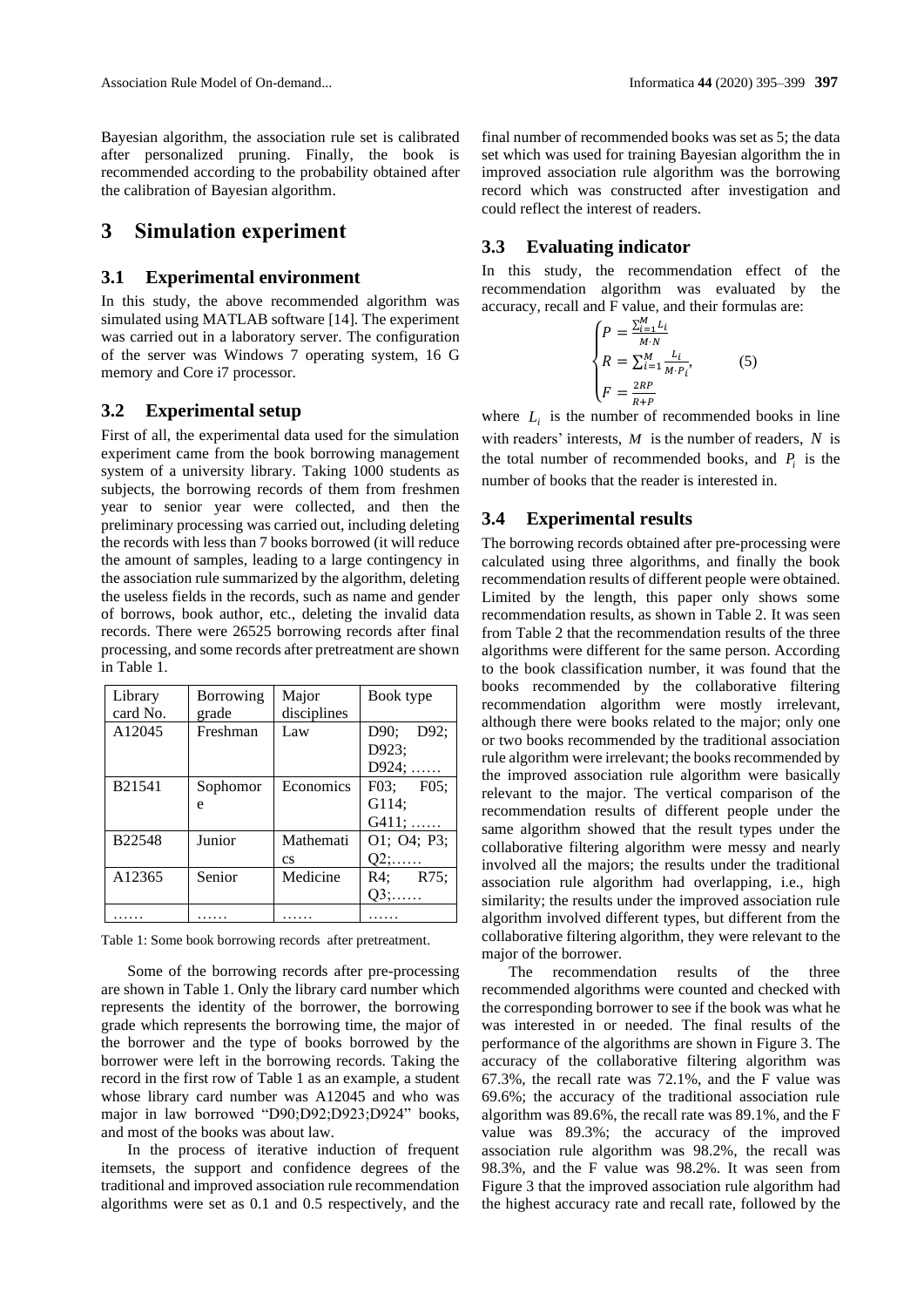Bayesian algorithm, the association rule set is calibrated after personalized pruning. Finally, the book is recommended according to the probability obtained after the calibration of Bayesian algorithm.

## **3 Simulation experiment**

#### **3.1 Experimental environment**

In this study, the above recommended algorithm was simulated using MATLAB software [14]. The experiment was carried out in a laboratory server. The configuration of the server was Windows 7 operating system, 16 G memory and Core i7 processor.

#### **3.2 Experimental setup**

First of all, the experimental data used for the simulation experiment came from the book borrowing management system of a university library. Taking 1000 students as subjects, the borrowing records of them from freshmen year to senior year were collected, and then the preliminary processing was carried out, including deleting the records with less than 7 books borrowed (it will reduce the amount of samples, leading to a large contingency in the association rule summarized by the algorithm, deleting the useless fields in the records, such as name and gender of borrows, book author, etc., deleting the invalid data records. There were 26525 borrowing records after final processing, and some records after pretreatment are shown in Table 1.

| Library  | Borrowing | Major       | Book type        |  |
|----------|-----------|-------------|------------------|--|
| card No. | grade     | disciplines |                  |  |
| A12045   | Freshman  | Law         | D90;<br>D $92$ ; |  |
|          |           |             | D923;            |  |
|          |           |             | $D924; \ldots$   |  |
| B21541   | Sophomor  | Economics   | F03; F05;        |  |
|          | e         |             | G114;            |  |
|          |           |             | $G411; \ldots$   |  |
| B22548   | Junior    | Mathemati   | O1; O4; P3;      |  |
|          |           | <b>CS</b>   | $Q2; \ldots$     |  |
| A12365   | Senior    | Medicine    | R4: R75:         |  |
|          |           |             | $Q3; \ldots$     |  |
|          |           |             |                  |  |

Table 1: Some book borrowing records after pretreatment.

Some of the borrowing records after pre-processing are shown in Table 1. Only the library card number which represents the identity of the borrower, the borrowing grade which represents the borrowing time, the major of the borrower and the type of books borrowed by the borrower were left in the borrowing records. Taking the record in the first row of Table 1 as an example, a student whose library card number was A12045 and who was major in law borrowed "D90;D92;D923;D924" books, and most of the books was about law.

In the process of iterative induction of frequent itemsets, the support and confidence degrees of the traditional and improved association rule recommendation algorithms were set as 0.1 and 0.5 respectively, and the

final number of recommended books was set as 5; the data set which was used for training Bayesian algorithm the in improved association rule algorithm was the borrowing record which was constructed after investigation and could reflect the interest of readers.

### **3.3 Evaluating indicator**

In this study, the recommendation effect of the recommendation algorithm was evaluated by the accuracy, recall and F value, and their formulas are:

$$
\begin{cases}\nP = \frac{\sum_{i=1}^{M} L_i}{M \cdot N} \\
R = \sum_{i=1}^{M} \frac{L_i}{M \cdot P_i}, \\
F = \frac{2RP}{R + P}\n\end{cases}
$$
\n(5)

with readers' interests,  $M$  is the number of readers,  $N$  is where  $L_i$  is the number of recommended books in line the total number of recommended books, and  $P_i$  is the number of books that the reader is interested in.

### **3.4 Experimental results**

The borrowing records obtained after pre-processing were calculated using three algorithms, and finally the book recommendation results of different people were obtained. Limited by the length, this paper only shows some recommendation results, as shown in Table 2. It was seen from Table 2 that the recommendation results of the three algorithms were different for the same person. According to the book classification number, it was found that the books recommended by the collaborative filtering recommendation algorithm were mostly irrelevant, although there were books related to the major; only one or two books recommended by the traditional association rule algorithm were irrelevant; the books recommended by the improved association rule algorithm were basically relevant to the major. The vertical comparison of the recommendation results of different people under the same algorithm showed that the result types under the collaborative filtering algorithm were messy and nearly involved all the majors; the results under the traditional association rule algorithm had overlapping, i.e., high similarity; the results under the improved association rule algorithm involved different types, but different from the collaborative filtering algorithm, they were relevant to the major of the borrower.

The recommendation results of the three recommended algorithms were counted and checked with the corresponding borrower to see if the book was what he was interested in or needed. The final results of the performance of the algorithms are shown in Figure 3. The accuracy of the collaborative filtering algorithm was 67.3%, the recall rate was 72.1%, and the F value was 69.6%; the accuracy of the traditional association rule algorithm was 89.6%, the recall rate was 89.1%, and the F value was 89.3%; the accuracy of the improved association rule algorithm was 98.2%, the recall was 98.3%, and the F value was 98.2%. It was seen from Figure 3 that the improved association rule algorithm had the highest accuracy rate and recall rate, followed by the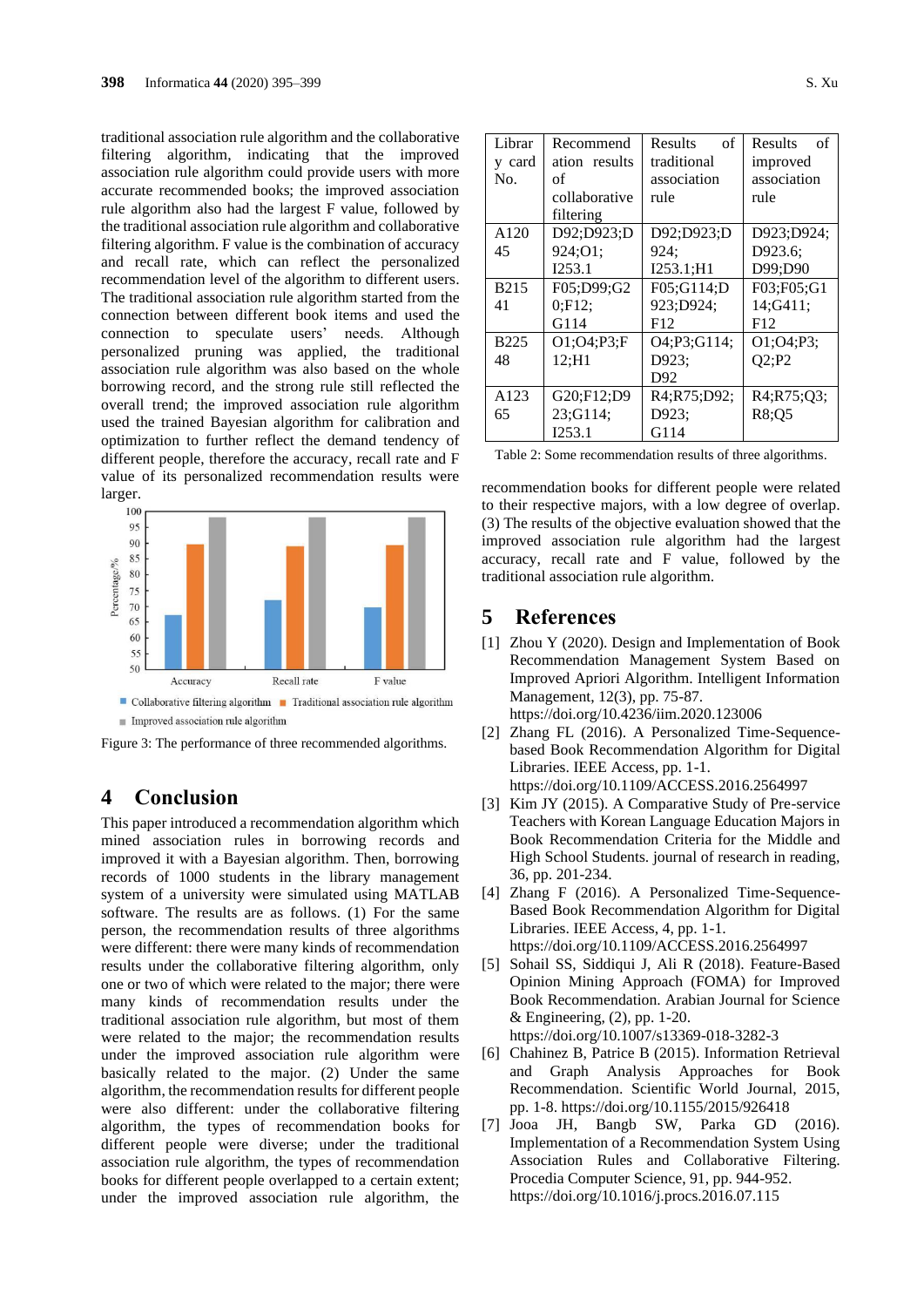traditional association rule algorithm and the collaborative filtering algorithm, indicating that the improved association rule algorithm could provide users with more accurate recommended books; the improved association rule algorithm also had the largest F value, followed by the traditional association rule algorithm and collaborative filtering algorithm. F value is the combination of accuracy and recall rate, which can reflect the personalized recommendation level of the algorithm to different users. The traditional association rule algorithm started from the connection between different book items and used the connection to speculate users' needs. Although personalized pruning was applied, the traditional association rule algorithm was also based on the whole borrowing record, and the strong rule still reflected the overall trend; the improved association rule algorithm used the trained Bayesian algorithm for calibration and optimization to further reflect the demand tendency of different people, therefore the accuracy, recall rate and F value of its personalized recommendation results were larger.



Figure 3: The performance of three recommended algorithms.

## **4 Conclusion**

This paper introduced a recommendation algorithm which mined association rules in borrowing records and improved it with a Bayesian algorithm. Then, borrowing records of 1000 students in the library management system of a university were simulated using MATLAB software. The results are as follows. (1) For the same person, the recommendation results of three algorithms were different: there were many kinds of recommendation results under the collaborative filtering algorithm, only one or two of which were related to the major; there were many kinds of recommendation results under the traditional association rule algorithm, but most of them were related to the major; the recommendation results under the improved association rule algorithm were basically related to the major. (2) Under the same algorithm, the recommendation results for different people were also different: under the collaborative filtering algorithm, the types of recommendation books for different people were diverse; under the traditional association rule algorithm, the types of recommendation books for different people overlapped to a certain extent; under the improved association rule algorithm, the

| Librar      | Recommend     | of<br><b>Results</b> | <b>Results</b><br>of |  |  |
|-------------|---------------|----------------------|----------------------|--|--|
| y card      | ation results | traditional          | improved             |  |  |
| No.         | оf            | association          | association          |  |  |
|             | collaborative | rule                 | rule                 |  |  |
|             | filtering     |                      |                      |  |  |
| A120        | D92;D923;D    | D92;D923;D           | D923;D924;           |  |  |
| 45          | 924;01;       | 924:                 | D923.6;              |  |  |
|             | I253.1        | I253.1; H1           | D99;D90              |  |  |
| <b>B215</b> | F05;D99;G2    | F05:G114:D           | F03;F05;G1           |  |  |
| 41          | 0;F12;        | 923;D924;            | 14:G411:             |  |  |
|             | G114          | F12                  | F12                  |  |  |
| <b>B225</b> | O1; O4; P3; F | O4;P3;G114;          | O1;O4;P3;            |  |  |
| 48          | 12:H1         | D923:                | O2:P2                |  |  |
|             |               | D92                  |                      |  |  |
| A123        | G20;F12;D9    | R4:R75:D92:          | R4;R75;Q3;           |  |  |
| 65          | 23:G114:      | D923;                | R8:05                |  |  |
|             | I253.1        | G114                 |                      |  |  |

|  |  | Table 2: Some recommendation results of three algorithms. |  |  |  |
|--|--|-----------------------------------------------------------|--|--|--|
|  |  |                                                           |  |  |  |

recommendation books for different people were related to their respective majors, with a low degree of overlap. (3) The results of the objective evaluation showed that the improved association rule algorithm had the largest accuracy, recall rate and F value, followed by the traditional association rule algorithm.

## **5 References**

- [1] Zhou Y (2020). Design and Implementation of Book Recommendation Management System Based on Improved Apriori Algorithm. Intelligent Information Management, 12(3), pp. 75-87. https://doi.org/10.4236/iim.2020.123006
- [2] Zhang FL (2016). A Personalized Time-Sequencebased Book Recommendation Algorithm for Digital Libraries. IEEE Access, pp. 1-1. https://doi.org/10.1109/ACCESS.2016.2564997
- [3] Kim JY (2015). A Comparative Study of Pre-service Teachers with Korean Language Education Majors in Book Recommendation Criteria for the Middle and High School Students. journal of research in reading, 36, pp. 201-234.
- [4] Zhang F (2016). A Personalized Time-Sequence-Based Book Recommendation Algorithm for Digital Libraries. IEEE Access, 4, pp. 1-1. https://doi.org/10.1109/ACCESS.2016.2564997
- [5] Sohail SS, Siddiqui J, Ali R (2018). Feature-Based Opinion Mining Approach (FOMA) for Improved Book Recommendation. Arabian Journal for Science & Engineering, (2), pp. 1-20. https://doi.org/10.1007/s13369-018-3282-3
- [6] Chahinez B, Patrice B (2015). Information Retrieval and Graph Analysis Approaches for Book Recommendation. Scientific World Journal, 2015, pp. 1-8. https://doi.org/10.1155/2015/926418
- [7] Jooa JH, Bangb SW, Parka GD (2016). Implementation of a Recommendation System Using Association Rules and Collaborative Filtering. Procedia Computer Science, 91, pp. 944-952. https://doi.org/10.1016/j.procs.2016.07.115